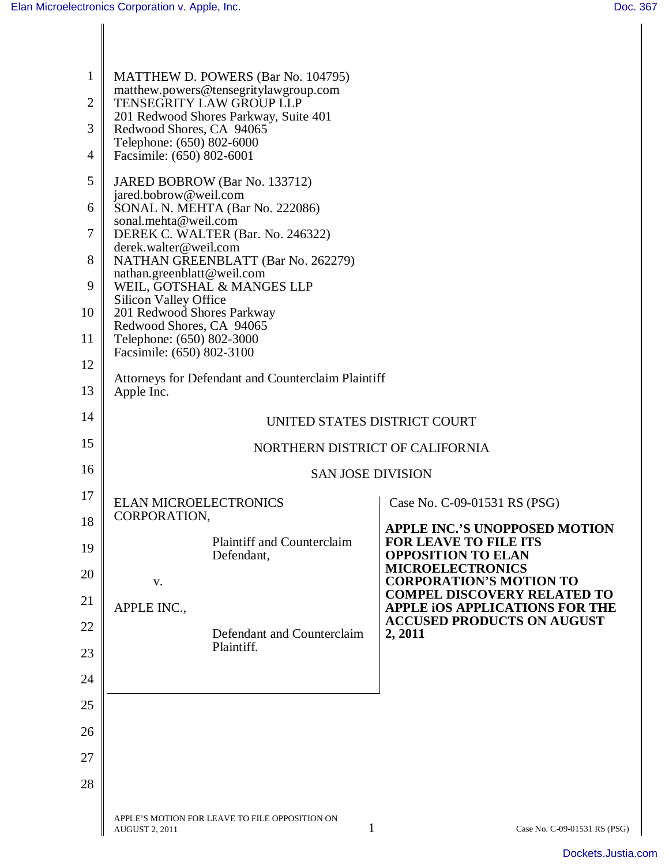| $\mathbf{1}$   | MATTHEW D. POWERS (Bar No. 104795)                                                     |                                                                            |  |
|----------------|----------------------------------------------------------------------------------------|----------------------------------------------------------------------------|--|
| $\overline{2}$ | matthew.powers@tensegritylawgroup.com<br>TENSEGRITY LAW GROUP LLP                      |                                                                            |  |
| 3              | 201 Redwood Shores Parkway, Suite 401<br>Redwood Shores, CA 94065                      |                                                                            |  |
| $\overline{4}$ | Telephone: (650) 802-6000<br>Facsimile: (650) 802-6001                                 |                                                                            |  |
| 5              | JARED BOBROW (Bar No. 133712)                                                          |                                                                            |  |
| 6              | jared.bobrow@weil.com<br>SONAL N. MEHTA (Bar No. 222086)                               |                                                                            |  |
| 7              | sonal.mehta@weil.com<br>DEREK C. WALTER (Bar. No. 246322)                              |                                                                            |  |
| 8              | derek.walter@weil.com<br>NATHAN GREENBLATT (Bar No. 262279)                            |                                                                            |  |
| 9              | nathan.greenblatt@weil.com<br>WEIL, GOTSHAL & MANGES LLP                               |                                                                            |  |
| 10             | <b>Silicon Valley Office</b><br>201 Redwood Shores Parkway<br>Redwood Shores, CA 94065 |                                                                            |  |
| 11             | Telephone: (650) 802-3000<br>Facsimile: (650) 802-3100                                 |                                                                            |  |
| 12             | Attorneys for Defendant and Counterclaim Plaintiff                                     |                                                                            |  |
| 13             | Apple Inc.                                                                             |                                                                            |  |
| 14             | UNITED STATES DISTRICT COURT                                                           |                                                                            |  |
| 15             | NORTHERN DISTRICT OF CALIFORNIA                                                        |                                                                            |  |
| 16             | <b>SAN JOSE DIVISION</b>                                                               |                                                                            |  |
| 17             | <b>ELAN MICROELECTRONICS</b><br>CORPORATION,                                           | Case No. C-09-01531 RS (PSG)                                               |  |
| 18             | <b>Plaintiff and Counterclaim</b>                                                      | <b>APPLE INC.'S UNOPPOSED MOTION</b><br><b>FOR LEAVE TO FILE ITS</b>       |  |
| 19             | Defendant,                                                                             | <b>OPPOSITION TO ELAN</b><br><b>MICROELECTRONICS</b>                       |  |
| 20             | V.                                                                                     | <b>CORPORATION'S MOTION TO</b><br><b>COMPEL DISCOVERY RELATED TO</b>       |  |
| 21             | APPLE INC.,                                                                            | <b>APPLE IOS APPLICATIONS FOR THE</b><br><b>ACCUSED PRODUCTS ON AUGUST</b> |  |
| 22             | Defendant and Counterclaim<br>Plaintiff.                                               | 2, 2011                                                                    |  |
| 23             |                                                                                        |                                                                            |  |
| 24             |                                                                                        |                                                                            |  |
| 25<br>26       |                                                                                        |                                                                            |  |
| 27             |                                                                                        |                                                                            |  |
| 28             |                                                                                        |                                                                            |  |
|                |                                                                                        |                                                                            |  |
|                | APPLE'S MOTION FOR LEAVE TO FILE OPPOSITION ON<br>1<br><b>AUGUST 2, 2011</b>           | Case No. C-09-01531 RS (PSG)                                               |  |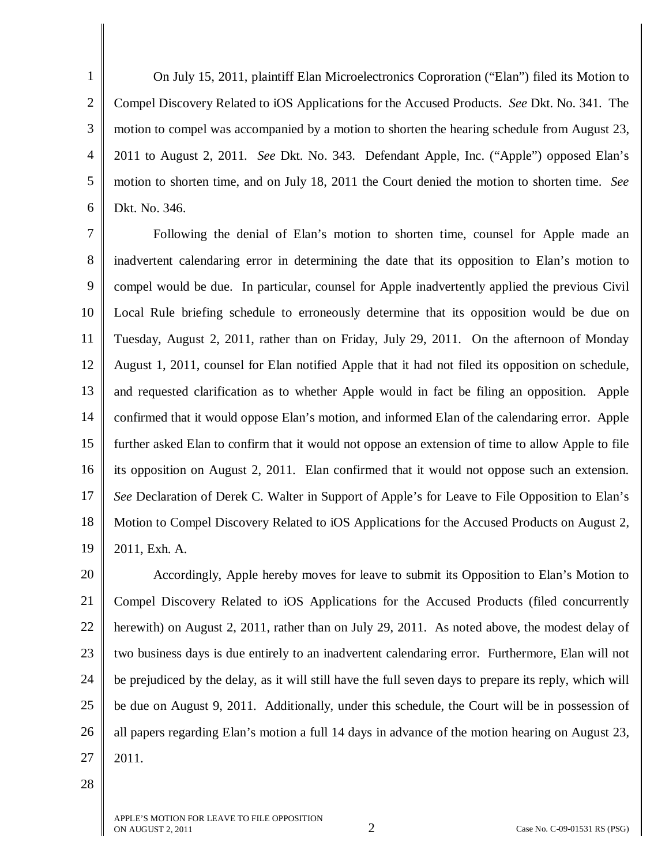1 2 3 4 5 6 On July 15, 2011, plaintiff Elan Microelectronics Coproration ("Elan") filed its Motion to Compel Discovery Related to iOS Applications for the Accused Products. *See* Dkt. No. 341. The motion to compel was accompanied by a motion to shorten the hearing schedule from August 23, 2011 to August 2, 2011. *See* Dkt. No. 343. Defendant Apple, Inc. ("Apple") opposed Elan's motion to shorten time, and on July 18, 2011 the Court denied the motion to shorten time. *See*  Dkt. No. 346.

7 8 9 10 11 12 13 14 15 16 17 18 19 Following the denial of Elan's motion to shorten time, counsel for Apple made an inadvertent calendaring error in determining the date that its opposition to Elan's motion to compel would be due. In particular, counsel for Apple inadvertently applied the previous Civil Local Rule briefing schedule to erroneously determine that its opposition would be due on Tuesday, August 2, 2011, rather than on Friday, July 29, 2011. On the afternoon of Monday August 1, 2011, counsel for Elan notified Apple that it had not filed its opposition on schedule, and requested clarification as to whether Apple would in fact be filing an opposition. Apple confirmed that it would oppose Elan's motion, and informed Elan of the calendaring error. Apple further asked Elan to confirm that it would not oppose an extension of time to allow Apple to file its opposition on August 2, 2011. Elan confirmed that it would not oppose such an extension. *See* Declaration of Derek C. Walter in Support of Apple's for Leave to File Opposition to Elan's Motion to Compel Discovery Related to iOS Applications for the Accused Products on August 2, 2011, Exh. A.

20 21 22 23 24 25 26 27 Accordingly, Apple hereby moves for leave to submit its Opposition to Elan's Motion to Compel Discovery Related to iOS Applications for the Accused Products (filed concurrently herewith) on August 2, 2011, rather than on July 29, 2011. As noted above, the modest delay of two business days is due entirely to an inadvertent calendaring error. Furthermore, Elan will not be prejudiced by the delay, as it will still have the full seven days to prepare its reply, which will be due on August 9, 2011. Additionally, under this schedule, the Court will be in possession of all papers regarding Elan's motion a full 14 days in advance of the motion hearing on August 23, 2011.

28